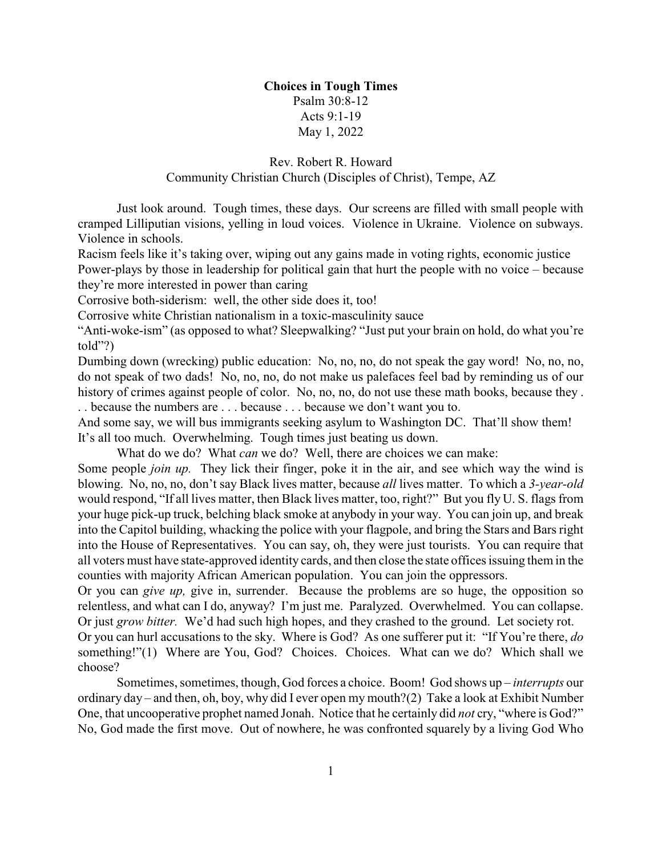## **Choices in Tough Times** Psalm 30:8-12 Acts 9:1-19

May 1, 2022

## Rev. Robert R. Howard Community Christian Church (Disciples of Christ), Tempe, AZ

Just look around. Tough times, these days. Our screens are filled with small people with cramped Lilliputian visions, yelling in loud voices. Violence in Ukraine. Violence on subways. Violence in schools.

Racism feels like it's taking over, wiping out any gains made in voting rights, economic justice Power-plays by those in leadership for political gain that hurt the people with no voice – because they're more interested in power than caring

Corrosive both-siderism: well, the other side does it, too!

Corrosive white Christian nationalism in a toxic-masculinity sauce

"Anti-woke-ism" (as opposed to what? Sleepwalking? "Just put your brain on hold, do what you're told"?)

Dumbing down (wrecking) public education: No, no, no, do not speak the gay word! No, no, no, do not speak of two dads! No, no, no, do not make us palefaces feel bad by reminding us of our history of crimes against people of color. No, no, no, do not use these math books, because they . . . because the numbers are . . . because . . . because we don't want you to.

And some say, we will bus immigrants seeking asylum to Washington DC. That'll show them! It's all too much. Overwhelming. Tough times just beating us down.

What do we do? What *can* we do? Well, there are choices we can make:

Some people *join up.* They lick their finger, poke it in the air, and see which way the wind is blowing. No, no, no, don't say Black lives matter, because *all* lives matter. To which a *3-year-old* would respond, "If all lives matter, then Black lives matter, too, right?" But you fly U. S. flags from your huge pick-up truck, belching black smoke at anybody in your way. You can join up, and break into the Capitol building, whacking the police with your flagpole, and bring the Stars and Bars right into the House of Representatives. You can say, oh, they were just tourists. You can require that all voters must have state-approved identity cards, and then close the state offices issuing them in the counties with majority African American population. You can join the oppressors.

Or you can *give up,* give in, surrender. Because the problems are so huge, the opposition so relentless, and what can I do, anyway? I'm just me. Paralyzed. Overwhelmed. You can collapse. Or just *grow bitter.* We'd had such high hopes, and they crashed to the ground. Let society rot.

Or you can hurl accusations to the sky. Where is God? As one sufferer put it: "If You're there, *do* something!"(1) Where are You, God? Choices. Choices. What can we do? Which shall we choose?

Sometimes, sometimes, though, God forces a choice. Boom! God shows up – *interrupts* our ordinary day – and then, oh, boy, why did I ever open my mouth?(2) Take a look at Exhibit Number One, that uncooperative prophet named Jonah. Notice that he certainly did *not* cry, "where is God?" No, God made the first move. Out of nowhere, he was confronted squarely by a living God Who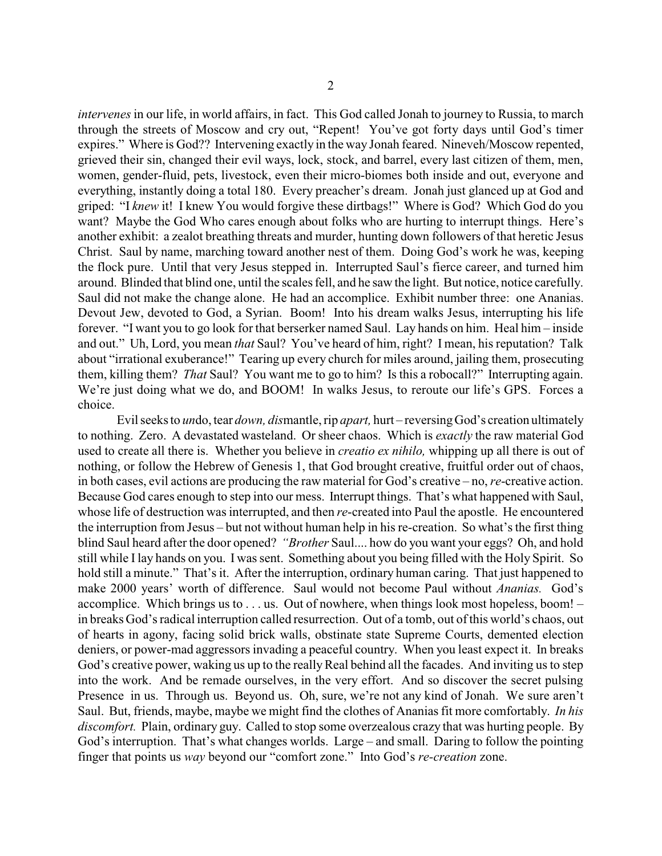*intervenes* in our life, in world affairs, in fact. This God called Jonah to journey to Russia, to march through the streets of Moscow and cry out, "Repent! You've got forty days until God's timer expires." Where is God?? Intervening exactly in the way Jonah feared. Nineveh/Moscow repented, grieved their sin, changed their evil ways, lock, stock, and barrel, every last citizen of them, men, women, gender-fluid, pets, livestock, even their micro-biomes both inside and out, everyone and everything, instantly doing a total 180. Every preacher's dream. Jonah just glanced up at God and griped: "I *knew* it! I knew You would forgive these dirtbags!" Where is God? Which God do you want? Maybe the God Who cares enough about folks who are hurting to interrupt things. Here's another exhibit: a zealot breathing threats and murder, hunting down followers of that heretic Jesus Christ. Saul by name, marching toward another nest of them. Doing God's work he was, keeping the flock pure. Until that very Jesus stepped in. Interrupted Saul's fierce career, and turned him around. Blinded that blind one, until the scales fell, and he saw the light. But notice, notice carefully. Saul did not make the change alone. He had an accomplice. Exhibit number three: one Ananias. Devout Jew, devoted to God, a Syrian. Boom! Into his dream walks Jesus, interrupting his life forever. "I want you to go look for that berserker named Saul. Lay hands on him. Heal him – inside and out." Uh, Lord, you mean *that* Saul? You've heard of him, right? I mean, his reputation? Talk about "irrational exuberance!" Tearing up every church for miles around, jailing them, prosecuting them, killing them? *That* Saul? You want me to go to him? Is this a robocall?" Interrupting again. We're just doing what we do, and BOOM! In walks Jesus, to reroute our life's GPS. Forces a choice.

Evil seeks to *un*do, tear *down, dis*mantle, rip *apart,* hurt – reversingGod's creation ultimately to nothing. Zero. A devastated wasteland. Or sheer chaos. Which is *exactly* the raw material God used to create all there is. Whether you believe in *creatio ex nihilo,* whipping up all there is out of nothing, or follow the Hebrew of Genesis 1, that God brought creative, fruitful order out of chaos, in both cases, evil actions are producing the raw material for God's creative – no, *re*-creative action. Because God cares enough to step into our mess. Interrupt things. That's what happened with Saul, whose life of destruction was interrupted, and then *re*-created into Paul the apostle. He encountered the interruption from Jesus – but not without human help in his re-creation. So what's the first thing blind Saul heard after the door opened? *"Brother* Saul.... how do you want your eggs? Oh, and hold still while I lay hands on you. I was sent. Something about you being filled with the Holy Spirit. So hold still a minute." That's it. After the interruption, ordinary human caring. That just happened to make 2000 years' worth of difference. Saul would not become Paul without *Ananias.* God's accomplice. Which brings us to  $\dots$  us. Out of nowhere, when things look most hopeless, boom! – in breaks God's radical interruption called resurrection. Out of a tomb, out of this world's chaos, out of hearts in agony, facing solid brick walls, obstinate state Supreme Courts, demented election deniers, or power-mad aggressors invading a peaceful country. When you least expect it. In breaks God's creative power, waking us up to the really Real behind all the facades. And inviting us to step into the work. And be remade ourselves, in the very effort. And so discover the secret pulsing Presence in us. Through us. Beyond us. Oh, sure, we're not any kind of Jonah. We sure aren't Saul. But, friends, maybe, maybe we might find the clothes of Ananias fit more comfortably. *In his discomfort.* Plain, ordinary guy. Called to stop some overzealous crazy that was hurting people. By God's interruption. That's what changes worlds. Large – and small. Daring to follow the pointing finger that points us *way* beyond our "comfort zone." Into God's *re-creation* zone.